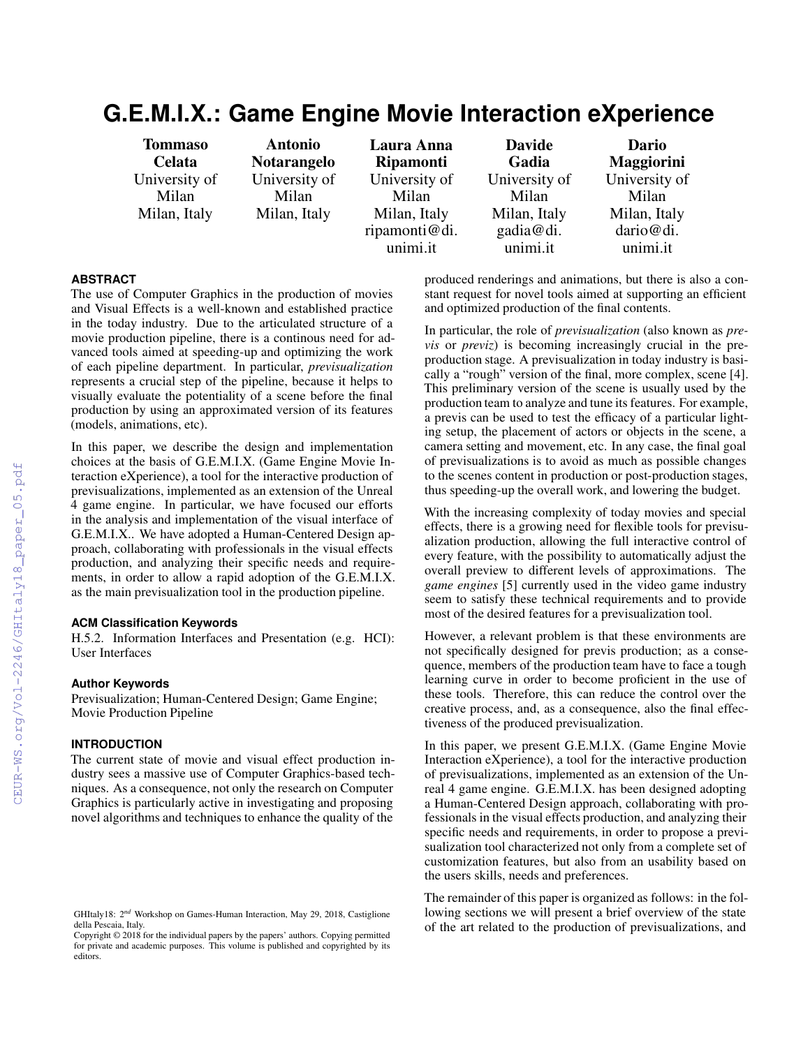# **G.E.M.I.X.: Game Engine Movie Interaction eXperience**

| <b>Tommaso</b><br><b>Celata</b> | <b>Antonio</b><br><b>Notarangelo</b> | Laura Anna<br><b>Ripamonti</b> | <b>Davide</b><br>Gadia | Dario<br>Maggiorini   |
|---------------------------------|--------------------------------------|--------------------------------|------------------------|-----------------------|
| University of                   | University of                        | University of                  | University of          | University of         |
| Milan                           | Milan                                | Milan                          | Milan                  | Milan                 |
| Milan, Italy                    | Milan, Italy                         | Milan, Italy                   | Milan, Italy           | Milan, Italy          |
|                                 |                                      | ripamonti@di.<br>unimi.it      | gadia@di.<br>unimi.it  | dario@di.<br>unimi.it |
|                                 |                                      |                                |                        |                       |

#### **ABSTRACT**

The use of Computer Graphics in the production of movies and Visual Effects is a well-known and established practice in the today industry. Due to the articulated structure of a movie production pipeline, there is a continous need for advanced tools aimed at speeding-up and optimizing the work of each pipeline department. In particular, *previsualization* represents a crucial step of the pipeline, because it helps to visually evaluate the potentiality of a scene before the final production by using an approximated version of its features (models, animations, etc).

In this paper, we describe the design and implementation choices at the basis of G.E.M.I.X. (Game Engine Movie Interaction eXperience), a tool for the interactive production of previsualizations, implemented as an extension of the Unreal 4 game engine. In particular, we have focused our efforts in the analysis and implementation of the visual interface of G.E.M.I.X.. We have adopted a Human-Centered Design approach, collaborating with professionals in the visual effects production, and analyzing their specific needs and requirements, in order to allow a rapid adoption of the G.E.M.I.X. as the main previsualization tool in the production pipeline.

#### **ACM Classification Keywords**

H.5.2. Information Interfaces and Presentation (e.g. HCI): User Interfaces

#### **Author Keywords**

Previsualization; Human-Centered Design; Game Engine; Movie Production Pipeline

# **INTRODUCTION**

The current state of movie and visual effect production industry sees a massive use of Computer Graphics-based techniques. As a consequence, not only the research on Computer Graphics is particularly active in investigating and proposing novel algorithms and techniques to enhance the quality of the

produced renderings and animations, but there is also a constant request for novel tools aimed at supporting an efficient and optimized production of the final contents.

In particular, the role of *previsualization* (also known as *previs* or *previz*) is becoming increasingly crucial in the preproduction stage. A previsualization in today industry is basically a "rough" version of the final, more complex, scene [\[4\]](#page--1-0). This preliminary version of the scene is usually used by the production team to analyze and tune its features. For example, a previs can be used to test the efficacy of a particular lighting setup, the placement of actors or objects in the scene, a camera setting and movement, etc. In any case, the final goal of previsualizations is to avoid as much as possible changes to the scenes content in production or post-production stages, thus speeding-up the overall work, and lowering the budget.

With the increasing complexity of today movies and special effects, there is a growing need for flexible tools for previsualization production, allowing the full interactive control of every feature, with the possibility to automatically adjust the overall preview to different levels of approximations. The *game engines* [\[5\]](#page--1-1) currently used in the video game industry seem to satisfy these technical requirements and to provide most of the desired features for a previsualization tool.

However, a relevant problem is that these environments are not specifically designed for previs production; as a consequence, members of the production team have to face a tough learning curve in order to become proficient in the use of these tools. Therefore, this can reduce the control over the creative process, and, as a consequence, also the final effectiveness of the produced previsualization.

In this paper, we present G.E.M.I.X. (Game Engine Movie Interaction eXperience), a tool for the interactive production of previsualizations, implemented as an extension of the Unreal 4 game engine. G.E.M.I.X. has been designed adopting a Human-Centered Design approach, collaborating with professionals in the visual effects production, and analyzing their specific needs and requirements, in order to propose a previsualization tool characterized not only from a complete set of customization features, but also from an usability based on the users skills, needs and preferences.

The remainder of this paper is organized as follows: in the following sections we will present a brief overview of the state of the art related to the production of previsualizations, and

GHItaly18: 2*nd* Workshop on Games-Human Interaction, May 29, 2018, Castiglione della Pescaia, Italy.

Copyright © 2018 for the individual papers by the papers' authors. Copying permitted for private and academic purposes. This volume is published and copyrighted by its editors.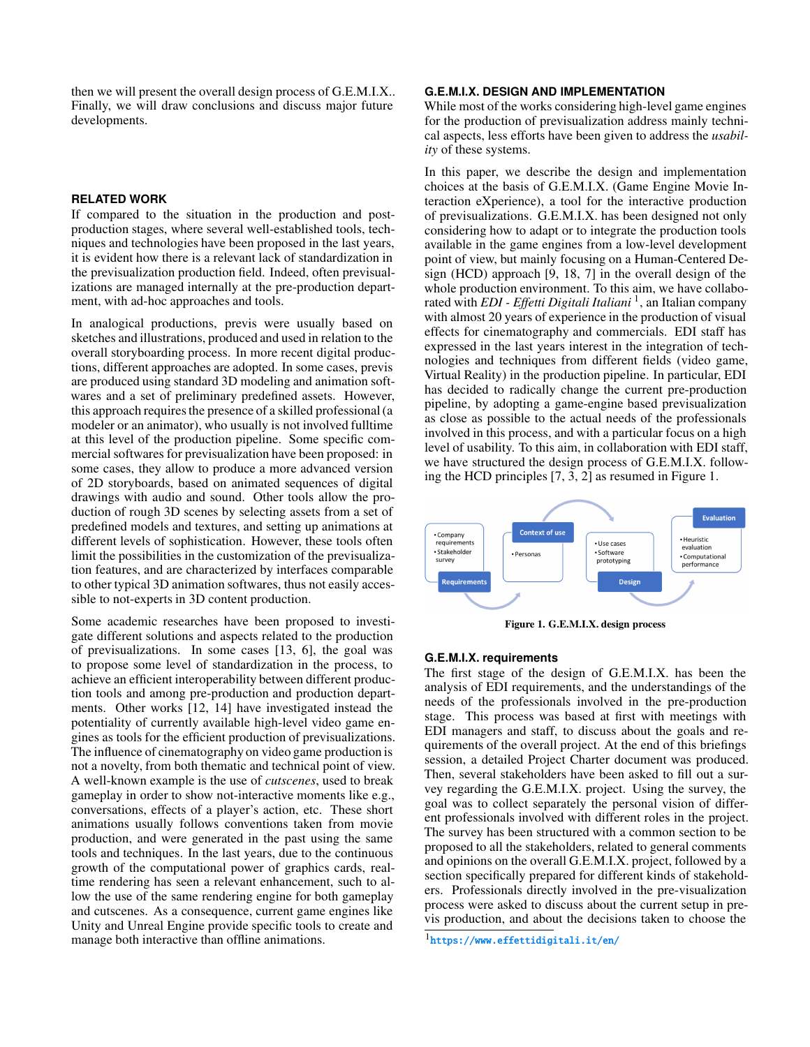then we will present the overall design process of G.E.M.I.X.. Finally, we will draw conclusions and discuss major future developments.

#### **RELATED WORK**

If compared to the situation in the production and postproduction stages, where several well-established tools, techniques and technologies have been proposed in the last years, it is evident how there is a relevant lack of standardization in the previsualization production field. Indeed, often previsualizations are managed internally at the pre-production department, with ad-hoc approaches and tools.

In analogical productions, previs were usually based on sketches and illustrations, produced and used in relation to the overall storyboarding process. In more recent digital productions, different approaches are adopted. In some cases, previs are produced using standard 3D modeling and animation softwares and a set of preliminary predefined assets. However, this approach requires the presence of a skilled professional (a modeler or an animator), who usually is not involved fulltime at this level of the production pipeline. Some specific commercial softwares for previsualization have been proposed: in some cases, they allow to produce a more advanced version of 2D storyboards, based on animated sequences of digital drawings with audio and sound. Other tools allow the production of rough 3D scenes by selecting assets from a set of predefined models and textures, and setting up animations at different levels of sophistication. However, these tools often limit the possibilities in the customization of the previsualization features, and are characterized by interfaces comparable to other typical 3D animation softwares, thus not easily accessible to not-experts in 3D content production.

Some academic researches have been proposed to investigate different solutions and aspects related to the production of previsualizations. In some cases [\[13,](#page-5-0) [6\]](#page-5-1), the goal was to propose some level of standardization in the process, to achieve an efficient interoperability between different production tools and among pre-production and production departments. Other works [\[12,](#page-5-2) [14\]](#page-5-3) have investigated instead the potentiality of currently available high-level video game engines as tools for the efficient production of previsualizations. The influence of cinematography on video game production is not a novelty, from both thematic and technical point of view. A well-known example is the use of *cutscenes*, used to break gameplay in order to show not-interactive moments like e.g., conversations, effects of a player's action, etc. These short animations usually follows conventions taken from movie production, and were generated in the past using the same tools and techniques. In the last years, due to the continuous growth of the computational power of graphics cards, realtime rendering has seen a relevant enhancement, such to allow the use of the same rendering engine for both gameplay and cutscenes. As a consequence, current game engines like Unity and Unreal Engine provide specific tools to create and manage both interactive than offline animations.

## **G.E.M.I.X. DESIGN AND IMPLEMENTATION**

While most of the works considering high-level game engines for the production of previsualization address mainly technical aspects, less efforts have been given to address the *usability* of these systems.

In this paper, we describe the design and implementation choices at the basis of G.E.M.I.X. (Game Engine Movie Interaction eXperience), a tool for the interactive production of previsualizations. G.E.M.I.X. has been designed not only considering how to adapt or to integrate the production tools available in the game engines from a low-level development point of view, but mainly focusing on a Human-Centered Design (HCD) approach [\[9,](#page-5-4) [18,](#page-5-5) [7\]](#page-5-6) in the overall design of the whole production environment. To this aim, we have collaborated with *EDI - Effetti Digitali Italiani* [1](#page-1-0) , an Italian company with almost 20 years of experience in the production of visual effects for cinematography and commercials. EDI staff has expressed in the last years interest in the integration of technologies and techniques from different fields (video game, Virtual Reality) in the production pipeline. In particular, EDI has decided to radically change the current pre-production pipeline, by adopting a game-engine based previsualization as close as possible to the actual needs of the professionals involved in this process, and with a particular focus on a high level of usability. To this aim, in collaboration with EDI staff, we have structured the design process of G.E.M.I.X. following the HCD principles [\[7,](#page-5-6) [3,](#page-5-7) [2\]](#page-5-8) as resumed in Figure [1.](#page-1-1)



<span id="page-1-1"></span>Figure 1. G.E.M.I.X. design process

#### **G.E.M.I.X. requirements**

The first stage of the design of G.E.M.I.X. has been the analysis of EDI requirements, and the understandings of the needs of the professionals involved in the pre-production stage. This process was based at first with meetings with EDI managers and staff, to discuss about the goals and requirements of the overall project. At the end of this briefings session, a detailed Project Charter document was produced. Then, several stakeholders have been asked to fill out a survey regarding the G.E.M.I.X. project. Using the survey, the goal was to collect separately the personal vision of different professionals involved with different roles in the project. The survey has been structured with a common section to be proposed to all the stakeholders, related to general comments and opinions on the overall G.E.M.I.X. project, followed by a section specifically prepared for different kinds of stakeholders. Professionals directly involved in the pre-visualization process were asked to discuss about the current setup in previs production, and about the decisions taken to choose the

<span id="page-1-0"></span><sup>1</sup> <https://www.effettidigitali.it/en/>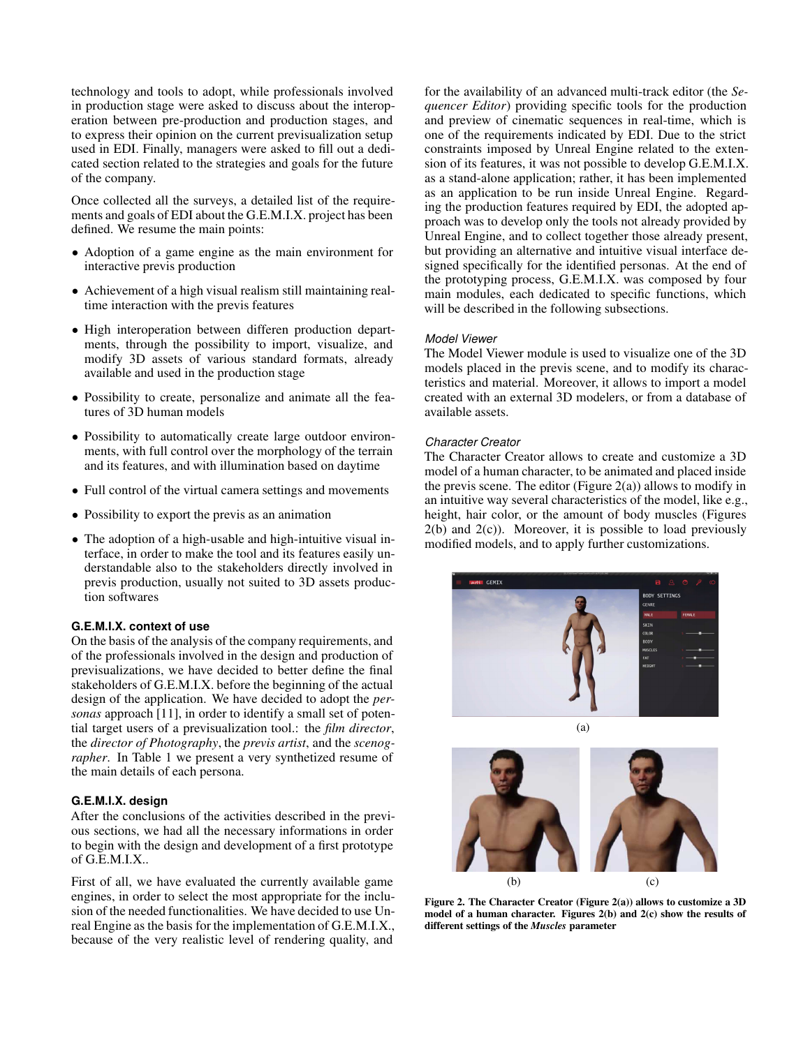technology and tools to adopt, while professionals involved in production stage were asked to discuss about the interoperation between pre-production and production stages, and to express their opinion on the current previsualization setup used in EDI. Finally, managers were asked to fill out a dedicated section related to the strategies and goals for the future of the company.

Once collected all the surveys, a detailed list of the requirements and goals of EDI about the G.E.M.I.X. project has been defined. We resume the main points:

- Adoption of a game engine as the main environment for interactive previs production
- Achievement of a high visual realism still maintaining realtime interaction with the previs features
- High interoperation between differen production departments, through the possibility to import, visualize, and modify 3D assets of various standard formats, already available and used in the production stage
- Possibility to create, personalize and animate all the features of 3D human models
- Possibility to automatically create large outdoor environments, with full control over the morphology of the terrain and its features, and with illumination based on daytime
- Full control of the virtual camera settings and movements
- Possibility to export the previs as an animation
- The adoption of a high-usable and high-intuitive visual interface, in order to make the tool and its features easily understandable also to the stakeholders directly involved in previs production, usually not suited to 3D assets production softwares

## **G.E.M.I.X. context of use**

On the basis of the analysis of the company requirements, and of the professionals involved in the design and production of previsualizations, we have decided to better define the final stakeholders of G.E.M.I.X. before the beginning of the actual design of the application. We have decided to adopt the *personas* approach [\[11\]](#page-5-9), in order to identify a small set of potential target users of a previsualization tool.: the *film director*, the *director of Photography*, the *previs artist*, and the *scenographer*. In Table [1](#page-3-0) we present a very synthetized resume of the main details of each persona.

#### **G.E.M.I.X. design**

After the conclusions of the activities described in the previous sections, we had all the necessary informations in order to begin with the design and development of a first prototype of G.E.M.I.X..

First of all, we have evaluated the currently available game engines, in order to select the most appropriate for the inclusion of the needed functionalities. We have decided to use Unreal Engine as the basis for the implementation of G.E.M.I.X., because of the very realistic level of rendering quality, and

for the availability of an advanced multi-track editor (the *Sequencer Editor*) providing specific tools for the production and preview of cinematic sequences in real-time, which is one of the requirements indicated by EDI. Due to the strict constraints imposed by Unreal Engine related to the extension of its features, it was not possible to develop G.E.M.I.X. as a stand-alone application; rather, it has been implemented as an application to be run inside Unreal Engine. Regarding the production features required by EDI, the adopted approach was to develop only the tools not already provided by Unreal Engine, and to collect together those already present, but providing an alternative and intuitive visual interface designed specifically for the identified personas. At the end of the prototyping process, G.E.M.I.X. was composed by four main modules, each dedicated to specific functions, which will be described in the following subsections.

#### *Model Viewer*

The Model Viewer module is used to visualize one of the 3D models placed in the previs scene, and to modify its characteristics and material. Moreover, it allows to import a model created with an external 3D modelers, or from a database of available assets.

#### *Character Creator*

The Character Creator allows to create and customize a 3D model of a human character, to be animated and placed inside the previs scene. The editor (Figure [2\(a\)\)](#page-2-0) allows to modify in an intuitive way several characteristics of the model, like e.g., height, hair color, or the amount of body muscles (Figures  $2(b)$  and  $2(c)$ ). Moreover, it is possible to load previously modified models, and to apply further customizations.

<span id="page-2-0"></span>

<span id="page-2-2"></span>(a)

<span id="page-2-3"></span><span id="page-2-1"></span>

Figure 2. The Character Creator (Figure [2\(a\)\)](#page-2-0) allows to customize a 3D model of a human character. Figures [2\(b\)](#page-2-1) and [2\(c\)](#page-2-2) show the results of different settings of the *Muscles* parameter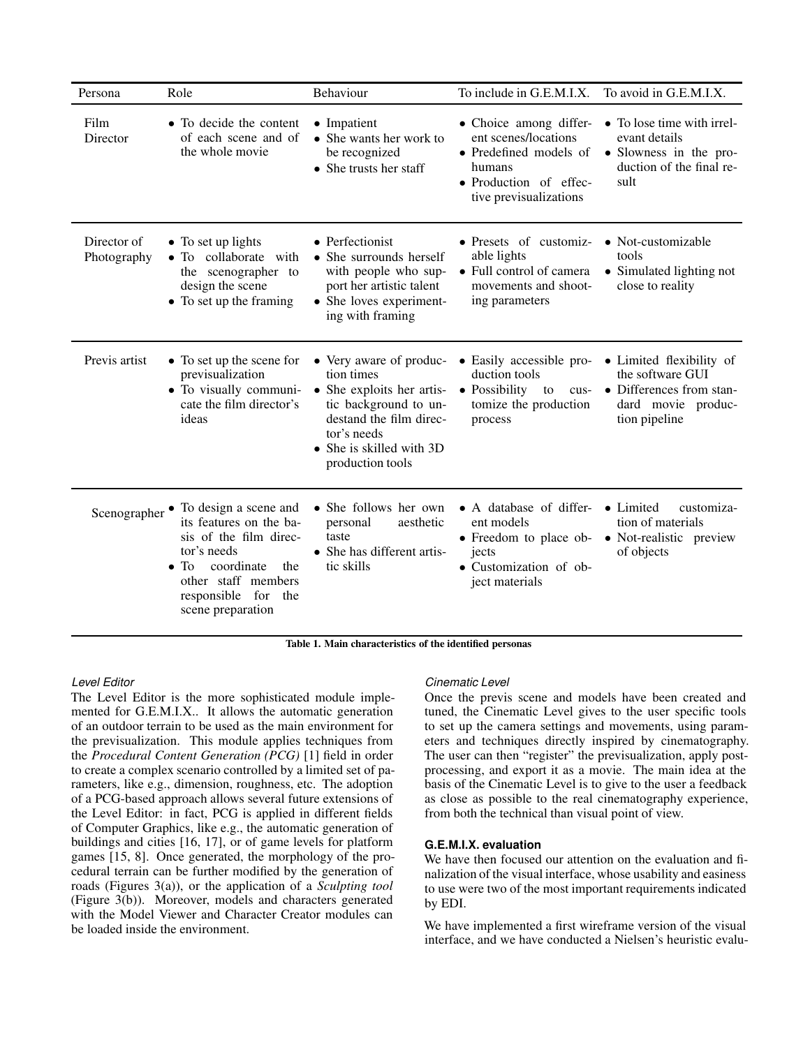| Persona                    | Role                                                                                                                                                                                                | Behaviour                                                                                                                                                                             | To include in G.E.M.I.X.                                                                                                               | To avoid in G.E.M.I.X.                                                                                          |
|----------------------------|-----------------------------------------------------------------------------------------------------------------------------------------------------------------------------------------------------|---------------------------------------------------------------------------------------------------------------------------------------------------------------------------------------|----------------------------------------------------------------------------------------------------------------------------------------|-----------------------------------------------------------------------------------------------------------------|
| Film<br>Director           | • To decide the content<br>of each scene and of<br>the whole movie                                                                                                                                  | • Impatient<br>$\bullet$ She wants her work to<br>be recognized<br>$\bullet$ She trusts her staff                                                                                     | • Choice among differ-<br>ent scenes/locations<br>• Predefined models of<br>humans<br>• Production of effec-<br>tive previsualizations | • To lose time with irrel-<br>evant details<br>• Slowness in the pro-<br>duction of the final re-<br>sult       |
| Director of<br>Photography | • To set up lights<br>• To collaborate with<br>the scenographer to<br>design the scene<br>• To set up the framing                                                                                   | • Perfectionist<br>• She surrounds herself<br>with people who sup-<br>port her artistic talent<br>• She loves experiment-<br>ing with framing                                         | • Presets of customiz-<br>able lights<br>• Full control of camera<br>movements and shoot-<br>ing parameters                            | • Not-customizable<br>tools<br>• Simulated lighting not<br>close to reality                                     |
| Previs artist              | • To set up the scene for<br>previsualization<br>• To visually communi-<br>cate the film director's<br>ideas                                                                                        | • Very aware of produc-<br>tion times<br>• She exploits her artis-<br>tic background to un-<br>destand the film direc-<br>tor's needs<br>• She is skilled with 3D<br>production tools | • Easily accessible pro-<br>duction tools<br>• Possibility<br>to<br>cus-<br>tomize the production<br>process                           | • Limited flexibility of<br>the software GUI<br>• Differences from stan-<br>dard movie produc-<br>tion pipeline |
| Scenographer               | • To design a scene and<br>its features on the ba-<br>sis of the film direc-<br>tor's needs<br>coordinate<br>$\bullet$ To<br>the<br>other staff members<br>responsible for the<br>scene preparation | • She follows her own<br>personal<br>aesthetic<br>taste<br>• She has different artis-<br>tic skills                                                                                   | • A database of differ-<br>ent models<br>• Freedom to place ob-<br>jects<br>• Customization of ob-<br>ject materials                   | • Limited<br>customiza-<br>tion of materials<br>• Not-realistic preview<br>of objects                           |

<span id="page-3-0"></span>Table 1. Main characteristics of the identified personas

#### *Level Editor*

The Level Editor is the more sophisticated module implemented for G.E.M.I.X.. It allows the automatic generation of an outdoor terrain to be used as the main environment for the previsualization. This module applies techniques from the *Procedural Content Generation (PCG)* [\[1\]](#page-5-10) field in order to create a complex scenario controlled by a limited set of parameters, like e.g., dimension, roughness, etc. The adoption of a PCG-based approach allows several future extensions of the Level Editor: in fact, PCG is applied in different fields of Computer Graphics, like e.g., the automatic generation of buildings and cities [\[16,](#page-5-11) [17\]](#page-5-12), or of game levels for platform games [\[15,](#page-5-13) [8\]](#page-5-14). Once generated, the morphology of the procedural terrain can be further modified by the generation of roads (Figures [3\(a\)\)](#page-4-0), or the application of a *Sculpting tool* (Figure [3\(b\)\)](#page-4-1). Moreover, models and characters generated with the Model Viewer and Character Creator modules can be loaded inside the environment.

#### *Cinematic Level*

Once the previs scene and models have been created and tuned, the Cinematic Level gives to the user specific tools to set up the camera settings and movements, using parameters and techniques directly inspired by cinematography. The user can then "register" the previsualization, apply postprocessing, and export it as a movie. The main idea at the basis of the Cinematic Level is to give to the user a feedback as close as possible to the real cinematography experience, from both the technical than visual point of view.

#### **G.E.M.I.X. evaluation**

We have then focused our attention on the evaluation and finalization of the visual interface, whose usability and easiness to use were two of the most important requirements indicated by EDI.

We have implemented a first wireframe version of the visual interface, and we have conducted a Nielsen's heuristic evalu-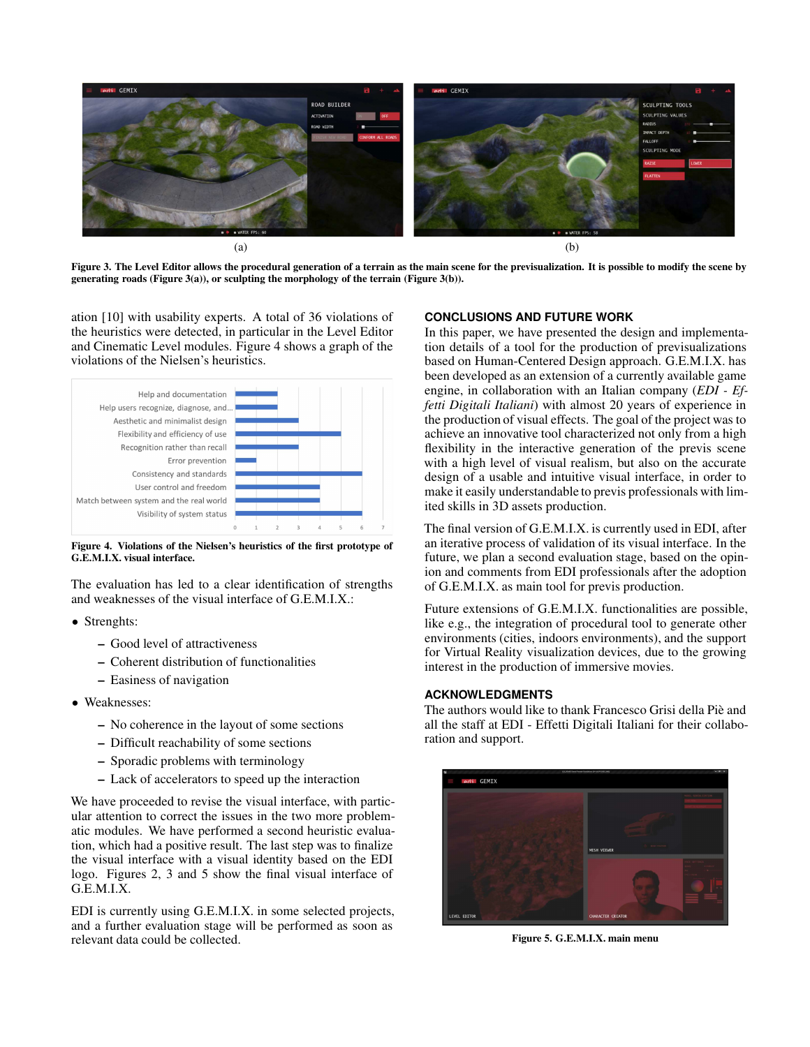<span id="page-4-0"></span>

<span id="page-4-3"></span>Figure 3. The Level Editor allows the procedural generation of a terrain as the main scene for the previsualization. It is possible to modify the scene by generating roads (Figure [3\(a\)\)](#page-4-0), or sculpting the morphology of the terrain (Figure [3\(b\)\)](#page-4-1).

ation [\[10\]](#page-5-15) with usability experts. A total of 36 violations of the heuristics were detected, in particular in the Level Editor and Cinematic Level modules. Figure [4](#page-4-2) shows a graph of the violations of the Nielsen's heuristics.



<span id="page-4-2"></span>Figure 4. Violations of the Nielsen's heuristics of the first prototype of G.E.M.I.X. visual interface.

The evaluation has led to a clear identification of strengths and weaknesses of the visual interface of G.E.M.I.X.:

- Strenghts:
	- Good level of attractiveness
	- Coherent distribution of functionalities
	- Easiness of navigation
- Weaknesses:
	- No coherence in the layout of some sections
	- Difficult reachability of some sections
	- Sporadic problems with terminology
	- Lack of accelerators to speed up the interaction

We have proceeded to revise the visual interface, with particular attention to correct the issues in the two more problematic modules. We have performed a second heuristic evaluation, which had a positive result. The last step was to finalize the visual interface with a visual identity based on the EDI logo. Figures [2,](#page-2-3) [3](#page-4-3) and [5](#page-4-4) show the final visual interface of G.E.M.I.X.

EDI is currently using G.E.M.I.X. in some selected projects, and a further evaluation stage will be performed as soon as relevant data could be collected.

#### <span id="page-4-1"></span>**CONCLUSIONS AND FUTURE WORK**

In this paper, we have presented the design and implementation details of a tool for the production of previsualizations based on Human-Centered Design approach. G.E.M.I.X. has been developed as an extension of a currently available game engine, in collaboration with an Italian company (*EDI - Effetti Digitali Italiani*) with almost 20 years of experience in the production of visual effects. The goal of the project was to achieve an innovative tool characterized not only from a high flexibility in the interactive generation of the previs scene with a high level of visual realism, but also on the accurate design of a usable and intuitive visual interface, in order to make it easily understandable to previs professionals with limited skills in 3D assets production.

The final version of G.E.M.I.X. is currently used in EDI, after an iterative process of validation of its visual interface. In the future, we plan a second evaluation stage, based on the opinion and comments from EDI professionals after the adoption of G.E.M.I.X. as main tool for previs production.

Future extensions of G.E.M.I.X. functionalities are possible, like e.g., the integration of procedural tool to generate other environments (cities, indoors environments), and the support for Virtual Reality visualization devices, due to the growing interest in the production of immersive movies.

### **ACKNOWLEDGMENTS**

The authors would like to thank Francesco Grisi della Piè and all the staff at EDI - Effetti Digitali Italiani for their collaboration and support.



<span id="page-4-4"></span>Figure 5. G.E.M.I.X. main menu